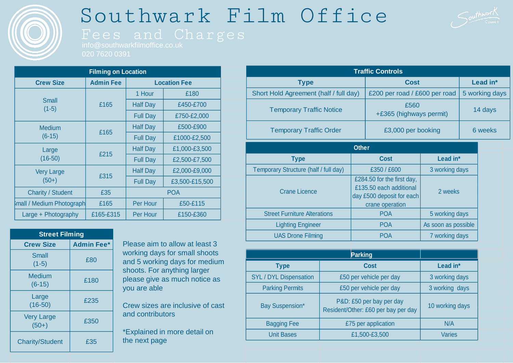

# Southwark Film Office



| <b>Filming on Location</b>       |                  |                     |                |  |  |  |
|----------------------------------|------------------|---------------------|----------------|--|--|--|
| <b>Crew Size</b>                 | <b>Admin Fee</b> | <b>Location Fee</b> |                |  |  |  |
| <b>Small</b><br>$(1-5)$          |                  | 1 Hour              | £180           |  |  |  |
|                                  | £165             | <b>Half Day</b>     | £450-£700      |  |  |  |
|                                  |                  | <b>Full Day</b>     | £750-£2,000    |  |  |  |
| <b>Medium</b>                    | £165             | <b>Half Day</b>     | £500-£900      |  |  |  |
| $(6-15)$                         |                  | <b>Full Day</b>     | £1000-£2,500   |  |  |  |
| Large<br>$(16-50)$               |                  | <b>Half Day</b>     | £1,000-£3,500  |  |  |  |
|                                  | £215             | <b>Full Day</b>     | £2,500-£7,500  |  |  |  |
| <b>Very Large</b><br>$(50+)$     |                  | <b>Half Day</b>     | £2,000-£9,000  |  |  |  |
|                                  | £315             | <b>Full Day</b>     | £3,500-£15,500 |  |  |  |
| <b>Charity / Student</b>         | £35              | <b>POA</b>          |                |  |  |  |
| <b>Small / Medium Photograph</b> | £165             | Per Hour            | £50-£115       |  |  |  |
| Large + Photography              | £165-£315        | Per Hour            | £150-£360      |  |  |  |

| <b>Street Filming</b>        |                   |  |  |  |  |
|------------------------------|-------------------|--|--|--|--|
| <b>Crew Size</b>             | <b>Admin Fee*</b> |  |  |  |  |
| Small<br>$(1-5)$             | £80               |  |  |  |  |
| Medium<br>$(6-15)$           | £180              |  |  |  |  |
| Large<br>$(16-50)$           | £235              |  |  |  |  |
| <b>Very Large</b><br>$(50+)$ | £350              |  |  |  |  |
| <b>Charity/Student</b>       | £35               |  |  |  |  |

Please aim to allow at least 3 working days for small shoots and 5 working days for medium shoots. For anything larger please give as much notice as you are able

Crew sizes are inclusive of cast and contributors

\*Explained in more detail on the next page

| <b>Traffic Controls</b>                |  |                                                                                                       |                     |         |          |  |  |  |
|----------------------------------------|--|-------------------------------------------------------------------------------------------------------|---------------------|---------|----------|--|--|--|
| <b>Type</b>                            |  | Cost                                                                                                  |                     |         | Lead in* |  |  |  |
| Short Hold Agreement (half / full day) |  | £200 per road / £600 per road                                                                         | 5 working days      |         |          |  |  |  |
| <b>Temporary Traffic Notice</b>        |  | £560<br>+£365 (highways permit)                                                                       |                     | 14 days |          |  |  |  |
| <b>Temporary Traffic Order</b>         |  | £3,000 per booking                                                                                    |                     | 6 weeks |          |  |  |  |
| <b>Other</b>                           |  |                                                                                                       |                     |         |          |  |  |  |
| <b>Type</b>                            |  | <b>Cost</b>                                                                                           | Lead in*            |         |          |  |  |  |
| Temporary Structure (half / full day)  |  | £350 / £600                                                                                           | 3 working days      |         |          |  |  |  |
| <b>Crane Licence</b>                   |  | £284.50 for the first day,<br>£135.50 each additional<br>day £500 deposit for each<br>crane operation | 2 weeks             |         |          |  |  |  |
| <b>Street Furniture Alterations</b>    |  | <b>POA</b><br>5 working days                                                                          |                     |         |          |  |  |  |
| <b>Lighting Engineer</b>               |  | <b>POA</b>                                                                                            | As soon as possible |         |          |  |  |  |
| <b>UAS Drone Filming</b>               |  | <b>POA</b>                                                                                            | 7 working days      |         |          |  |  |  |

| <b>Type</b>                   | <b>Cost</b>                                                     | Lead in*        |  |
|-------------------------------|-----------------------------------------------------------------|-----------------|--|
| <b>SYL / DYL Dispensation</b> | £50 per vehicle per day                                         | 3 working days  |  |
| <b>Parking Permits</b>        | £50 per vehicle per day                                         | 3 working days  |  |
| Bay Suspension*               | P&D: £50 per bay per day<br>Resident/Other: £60 per bay per day | 10 working days |  |
| <b>Bagging Fee</b>            | £75 per application                                             | N/A             |  |
| <b>Unit Bases</b>             | £1,500-£3,500                                                   | Varies          |  |